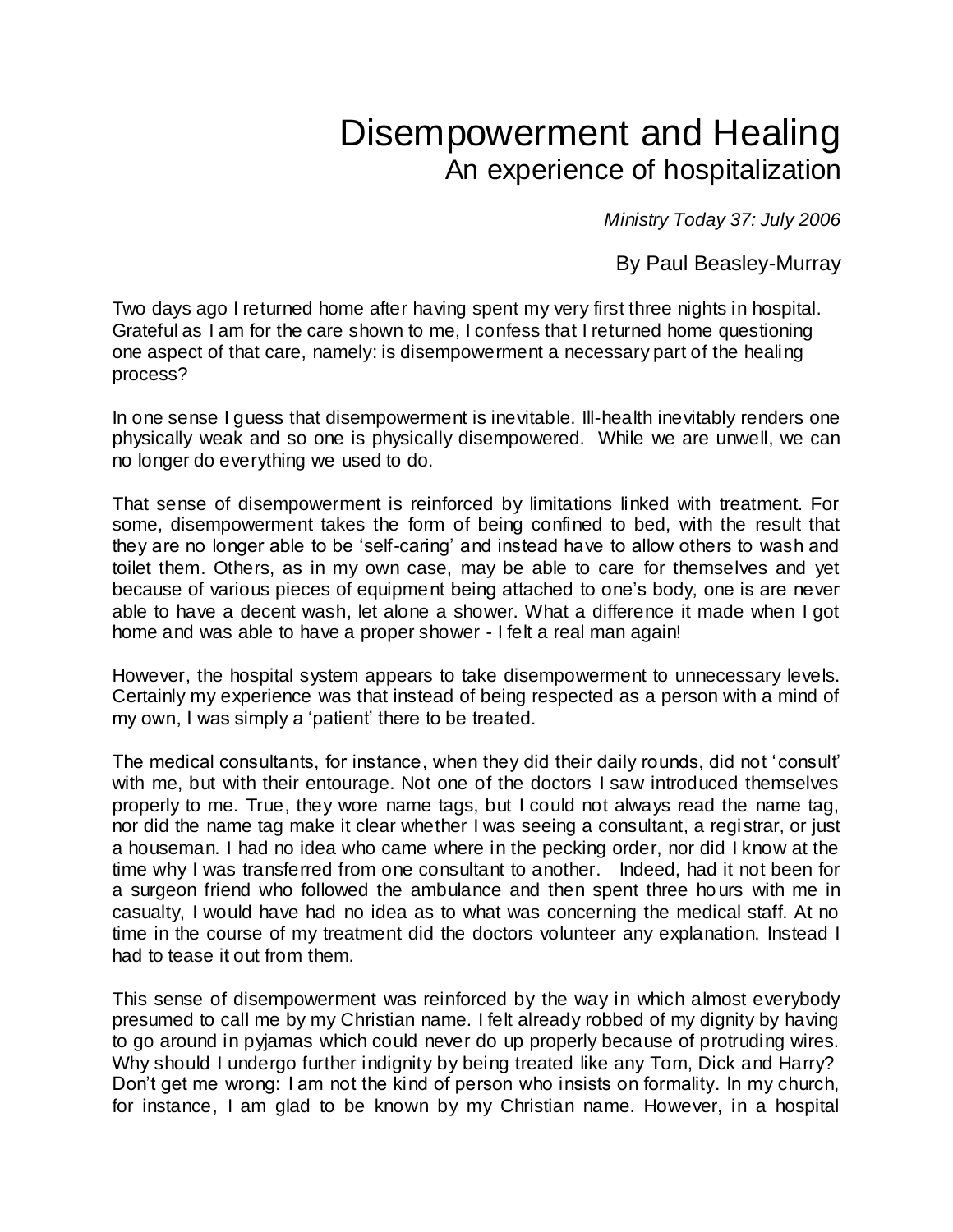## Disempowerment and Healing An experience of hospitalization

*Ministry Today 37: July 2006* 

By Paul Beasley-Murray

Two days ago I returned home after having spent my very first three nights in hospital. Grateful as I am for the care shown to me, I confess that I returned home questioning one aspect of that care, namely: is disempowerment a necessary part of the healing process?

In one sense I guess that disempowerment is inevitable. Ill-health inevitably renders one physically weak and so one is physically disempowered. While we are unwell, we can no longer do everything we used to do.

That sense of disempowerment is reinforced by limitations linked with treatment. For some, disempowerment takes the form of being confined to bed, with the result that they are no longer able to be 'self-caring' and instead have to allow others to wash and toilet them. Others, as in my own case, may be able to care for themselves and yet because of various pieces of equipment being attached to one's body, one is are never able to have a decent wash, let alone a shower. What a difference it made when I got home and was able to have a proper shower - I felt a real man again!

However, the hospital system appears to take disempowerment to unnecessary levels. Certainly my experience was that instead of being respected as a person with a mind of my own, I was simply a 'patient' there to be treated.

The medical consultants, for instance, when they did their daily rounds, did not 'consult' with me, but with their entourage. Not one of the doctors I saw introduced themselves properly to me. True, they wore name tags, but I could not always read the name tag, nor did the name tag make it clear whether I was seeing a consultant, a registrar, or just a houseman. I had no idea who came where in the pecking order, nor did I know at the time why I was transferred from one consultant to another. Indeed, had it not been for a surgeon friend who followed the ambulance and then spent three hours with me in casualty, I would have had no idea as to what was concerning the medical staff. At no time in the course of my treatment did the doctors volunteer any explanation. Instead I had to tease it out from them.

This sense of disempowerment was reinforced by the way in which almost everybody presumed to call me by my Christian name. I felt already robbed of my dignity by having to go around in pyjamas which could never do up properly because of protruding wires. Why should I undergo further indignity by being treated like any Tom, Dick and Harry? Don't get me wrong: I am not the kind of person who insists on formality. In my church, for instance, I am glad to be known by my Christian name. However, in a hospital